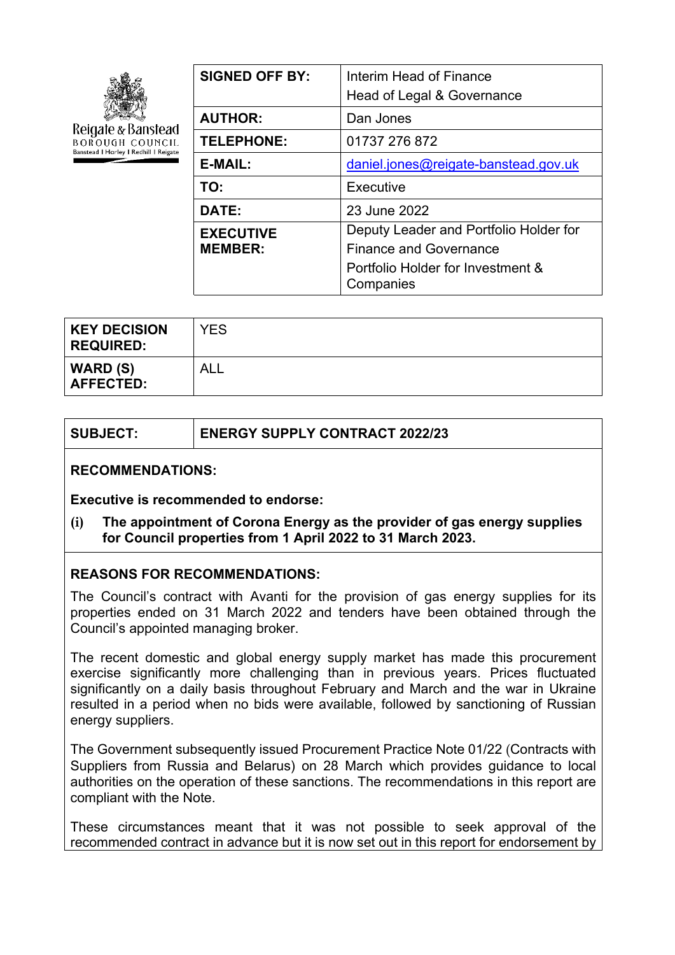

Reigate & Banstead **BOROUGH COUNCIL** Banstead | Horley | Redhill | Reigate

| Interim Head of Finance<br>Head of Legal & Governance |  |
|-------------------------------------------------------|--|
| Dan Jones                                             |  |
| 01737 276 872                                         |  |
| daniel.jones@reigate-banstead.gov.uk                  |  |
| Executive                                             |  |
| 23 June 2022                                          |  |
| Deputy Leader and Portfolio Holder for                |  |
| <b>Finance and Governance</b>                         |  |
| Portfolio Holder for Investment &<br>Companies        |  |
|                                                       |  |

| <b>KEY DECISION</b><br><b>REQUIRED:</b> | <b>YES</b> |
|-----------------------------------------|------------|
| WARD (S)<br><b>AFFECTED:</b>            | ALL        |

| <b>ENERGY SUPPLY CONTRACT 2022/23</b> |
|---------------------------------------|
|                                       |

#### **RECOMMENDATIONS:**

**Executive is recommended to endorse:**

**(i) The appointment of Corona Energy as the provider of gas energy supplies for Council properties from 1 April 2022 to 31 March 2023.**

## **REASONS FOR RECOMMENDATIONS:**

The Council's contract with Avanti for the provision of gas energy supplies for its properties ended on 31 March 2022 and tenders have been obtained through the Council's appointed managing broker.

The recent domestic and global energy supply market has made this procurement exercise significantly more challenging than in previous years. Prices fluctuated significantly on a daily basis throughout February and March and the war in Ukraine resulted in a period when no bids were available, followed by sanctioning of Russian energy suppliers.

The Government subsequently issued Procurement Practice Note 01/22 (Contracts with Suppliers from Russia and Belarus) on 28 March which provides guidance to local authorities on the operation of these sanctions. The recommendations in this report are compliant with the Note.

These circumstances meant that it was not possible to seek approval of the recommended contract in advance but it is now set out in this report for endorsement by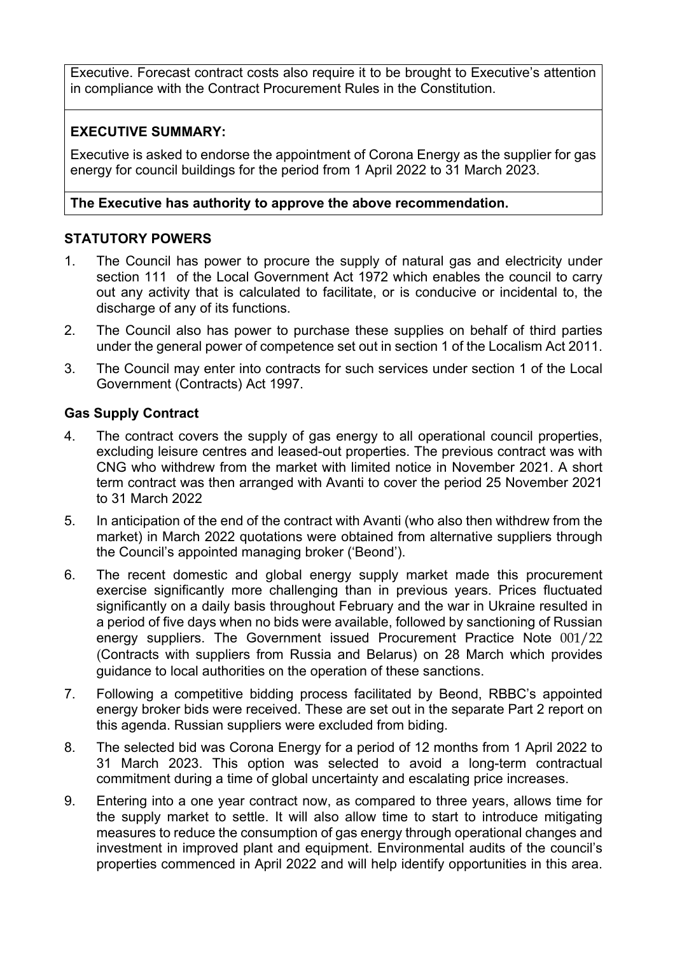Executive. Forecast contract costs also require it to be brought to Executive's attention in compliance with the Contract Procurement Rules in the Constitution.

# **EXECUTIVE SUMMARY:**

Executive is asked to endorse the appointment of Corona Energy as the supplier for gas energy for council buildings for the period from 1 April 2022 to 31 March 2023.

## **The Executive has authority to approve the above recommendation.**

# **STATUTORY POWERS**

- 1. The Council has power to procure the supply of natural gas and electricity under section 111 of the Local Government Act 1972 which enables the council to carry out any activity that is calculated to facilitate, or is conducive or incidental to, the discharge of any of its functions.
- 2. The Council also has power to purchase these supplies on behalf of third parties under the general power of competence set out in section 1 of the Localism Act 2011.
- 3. The Council may enter into contracts for such services under section 1 of the Local Government (Contracts) Act 1997.

## **Gas Supply Contract**

- 4. The contract covers the supply of gas energy to all operational council properties, excluding leisure centres and leased-out properties. The previous contract was with CNG who withdrew from the market with limited notice in November 2021. A short term contract was then arranged with Avanti to cover the period 25 November 2021 to 31 March 2022
- 5. In anticipation of the end of the contract with Avanti (who also then withdrew from the market) in March 2022 quotations were obtained from alternative suppliers through the Council's appointed managing broker ('Beond').
- 6. The recent domestic and global energy supply market made this procurement exercise significantly more challenging than in previous years. Prices fluctuated significantly on a daily basis throughout February and the war in Ukraine resulted in a period of five days when no bids were available, followed by sanctioning of Russian energy suppliers. The Government issued Procurement Practice Note 001/22 (Contracts with suppliers from Russia and Belarus) on 28 March which provides guidance to local authorities on the operation of these sanctions.
- 7. Following a competitive bidding process facilitated by Beond, RBBC's appointed energy broker bids were received. These are set out in the separate Part 2 report on this agenda. Russian suppliers were excluded from biding.
- 8. The selected bid was Corona Energy for a period of 12 months from 1 April 2022 to 31 March 2023. This option was selected to avoid a long-term contractual commitment during a time of global uncertainty and escalating price increases.
- 9. Entering into a one year contract now, as compared to three years, allows time for the supply market to settle. It will also allow time to start to introduce mitigating measures to reduce the consumption of gas energy through operational changes and investment in improved plant and equipment. Environmental audits of the council's properties commenced in April 2022 and will help identify opportunities in this area.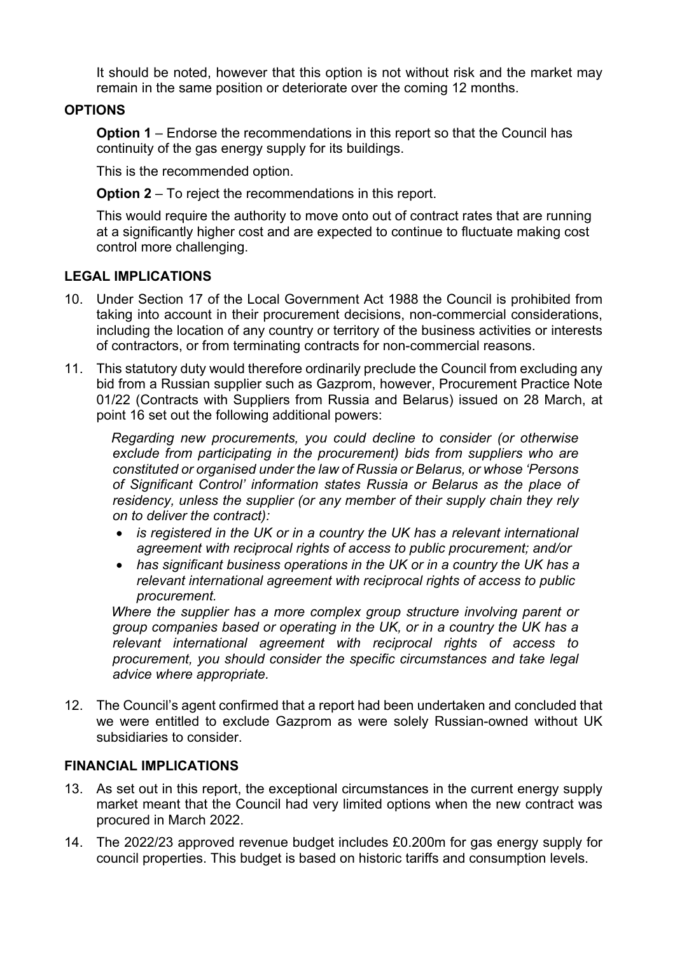It should be noted, however that this option is not without risk and the market may remain in the same position or deteriorate over the coming 12 months.

### **OPTIONS**

**Option 1** – Endorse the recommendations in this report so that the Council has continuity of the gas energy supply for its buildings.

This is the recommended option.

**Option 2** – To reject the recommendations in this report.

This would require the authority to move onto out of contract rates that are running at a significantly higher cost and are expected to continue to fluctuate making cost control more challenging.

#### **LEGAL IMPLICATIONS**

- 10. Under Section 17 of the Local Government Act 1988 the Council is prohibited from taking into account in their procurement decisions, non-commercial considerations, including the location of any country or territory of the business activities or interests of contractors, or from terminating contracts for non-commercial reasons.
- 11. This statutory duty would therefore ordinarily preclude the Council from excluding any bid from a Russian supplier such as Gazprom, however, Procurement Practice Note 01/22 (Contracts with Suppliers from Russia and Belarus) issued on 28 March, at point 16 set out the following additional powers:

*Regarding new procurements, you could decline to consider (or otherwise exclude from participating in the procurement) bids from suppliers who are constituted or organised under the law of Russia or Belarus, or whose 'Persons of Significant Control' information states Russia or Belarus as the place of residency, unless the supplier (or any member of their supply chain they rely on to deliver the contract):*

- *is registered in the UK or in a country the UK has a relevant international agreement with reciprocal rights of access to public procurement; and/or*
- *has significant business operations in the UK or in a country the UK has a relevant international agreement with reciprocal rights of access to public procurement.*

*Where the supplier has a more complex group structure involving parent or group companies based or operating in the UK, or in a country the UK has a relevant international agreement with reciprocal rights of access to procurement, you should consider the specific circumstances and take legal advice where appropriate.*

12. The Council's agent confirmed that a report had been undertaken and concluded that we were entitled to exclude Gazprom as were solely Russian-owned without UK subsidiaries to consider.

#### **FINANCIAL IMPLICATIONS**

- 13. As set out in this report, the exceptional circumstances in the current energy supply market meant that the Council had very limited options when the new contract was procured in March 2022.
- 14. The 2022/23 approved revenue budget includes £0.200m for gas energy supply for council properties. This budget is based on historic tariffs and consumption levels.